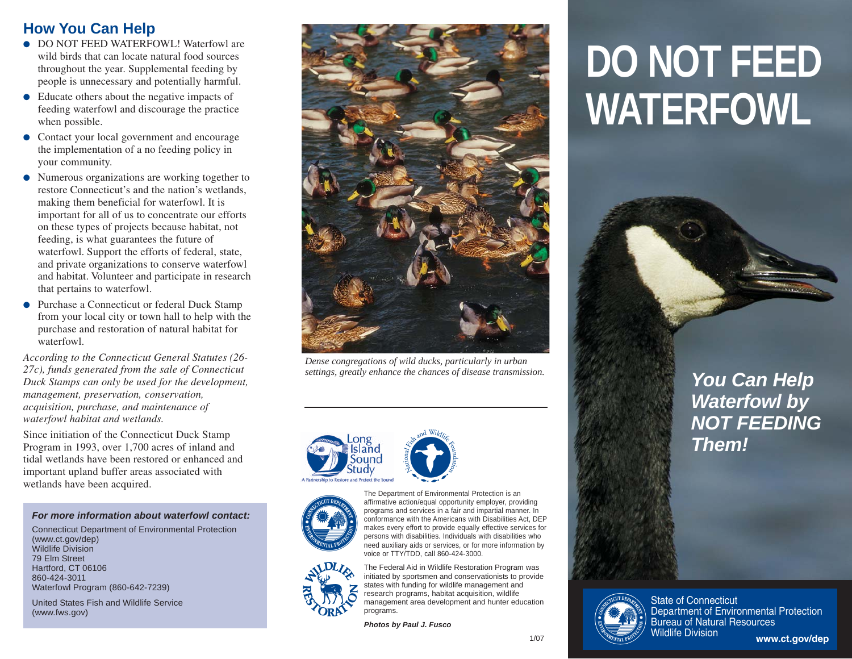## **How You Can Help**

- DO NOT FEED WATERFOWL! Waterfowl are wild birds that can locate natural food sources throughout the year. Supplemental feeding by people is unnecessary and potentially harmful.
- Educate others about the negative impacts of feeding waterfowl and discourage the practice when possible.
- Contact your local government and encourage the implementation of a no feeding policy in your community.
- Numerous organizations are working together to restore Connecticut's and the nation's wetlands, making them beneficial for waterfowl. It is important for all of us to concentrate our efforts on these types of projects because habitat, not feeding, is what guarantees the future of waterfowl. Support the efforts of federal, state, and private organizations to conserve waterfowl and habitat. Volunteer and participate in research that pertains to waterfowl.
- Purchase a Connecticut or federal Duck Stamp from your local city or town hall to help with the purchase and restoration of natural habitat for waterfowl.

*According to the Connecticut General Statutes (26- 27c), funds generated from the sale of Connecticut Duck Stamps can only be used for the development, management, preservation, conservation, acquisition, purchase, and maintenance of waterfowl habitat and wetlands.*

Since initiation of the Connecticut Duck Stamp Program in 1993, over 1,700 acres of inland and tidal wetlands have been restored or enhanced and important upland buffer areas associated with wetlands have been acquired.

#### *For more information about waterfowl contact:*

Connecticut Department of Environmental Protection (www.ct.gov/dep) Wildlife Division 79 Elm Street Hartford, CT 06106 860-424-3011 Waterfowl Program (860-642-7239)

United States Fish and Wildlife Service (www.fws.gov)



*Dense congregations of wild ducks, particularly in urban settings, greatly enhance the chances of disease transmission.*







conformance with the Americans with Disabilities Act, DEP makes every effort to provide equally effective services for persons with disabilities. Individuals with disabilities who need auxiliary aids or services, or for more information by voice or TTY/TDD, call 860-424-3000. The Federal Aid in Wildlife Restoration Program was initiated by sportsmen and conservationists to provide



states with funding for wildlife management and research programs, habitat acquisition, wildlife management area development and hunter education programs.

*Photos by Paul J. Fusco*

# **DO NOT FEED WATERFOWL**





State of Connecticut Department of Environmental Protection Bureau of Natural Resources<br>Wildlife Division www.ct.gov/dep